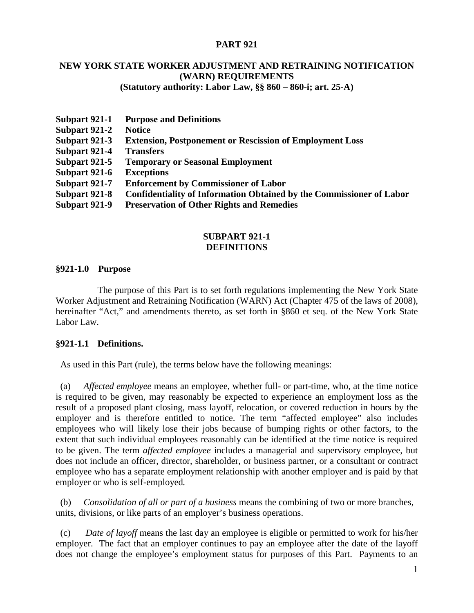## **PART 921**

# **NEW YORK STATE WORKER ADJUSTMENT AND RETRAINING NOTIFICATION (WARN) REQUIREMENTS**

**(Statutory authority: Labor Law, §§ 860 – 860-i; art. 25-A)**

| <b>Purpose and Definitions</b>                                              |
|-----------------------------------------------------------------------------|
| <b>Notice</b>                                                               |
| <b>Extension, Postponement or Rescission of Employment Loss</b>             |
| <b>Transfers</b>                                                            |
| <b>Temporary or Seasonal Employment</b>                                     |
| <b>Exceptions</b>                                                           |
| <b>Enforcement by Commissioner of Labor</b>                                 |
| <b>Confidentiality of Information Obtained by the Commissioner of Labor</b> |
| <b>Preservation of Other Rights and Remedies</b>                            |
|                                                                             |

## **SUBPART 921-1 DEFINITIONS**

#### **§921-1.0 Purpose**

The purpose of this Part is to set forth regulations implementing the New York State Worker Adjustment and Retraining Notification (WARN) Act (Chapter 475 of the laws of 2008), hereinafter "Act," and amendments thereto, as set forth in §860 et seq. of the New York State Labor Law.

## **§921-1.1 Definitions.**

As used in this Part (rule), the terms below have the following meanings:

 (a) *Affected employee* means an employee, whether full- or part-time, who, at the time notice is required to be given, may reasonably be expected to experience an employment loss as the result of a proposed plant closing, mass layoff, relocation, or covered reduction in hours by the employer and is therefore entitled to notice. The term "affected employee" also includes employees who will likely lose their jobs because of bumping rights or other factors, to the extent that such individual employees reasonably can be identified at the time notice is required to be given. The term *affected employee* includes a managerial and supervisory employee, but does not include an officer, director, shareholder, or business partner, or a consultant or contract employee who has a separate employment relationship with another employer and is paid by that employer or who is self-employed*.* 

 (b) *Consolidation of all or part of a business* means the combining of two or more branches, units, divisions, or like parts of an employer's business operations.

 (c) *Date of layoff* means the last day an employee is eligible or permitted to work for his/her employer. The fact that an employer continues to pay an employee after the date of the layoff does not change the employee's employment status for purposes of this Part. Payments to an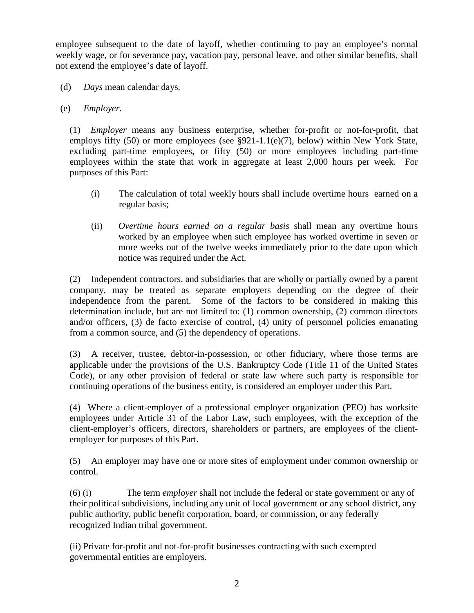employee subsequent to the date of layoff, whether continuing to pay an employee's normal weekly wage, or for severance pay, vacation pay, personal leave, and other similar benefits, shall not extend the employee's date of layoff.

(d) *Days* mean calendar days*.*

# (e) *Employer.*

(1) *Employer* means any business enterprise, whether for-profit or not-for-profit, that employs fifty (50) or more employees (see §921-1.1(e)(7), below) within New York State, excluding part-time employees, or fifty (50) or more employees including part-time employees within the state that work in aggregate at least 2,000 hours per week. For purposes of this Part:

- (i) The calculation of total weekly hours shall include overtime hours earned on a regular basis;
- (ii) *Overtime hours earned on a regular basis* shall mean any overtime hours worked by an employee when such employee has worked overtime in seven or more weeks out of the twelve weeks immediately prior to the date upon which notice was required under the Act.

(2) Independent contractors, and subsidiaries that are wholly or partially owned by a parent company, may be treated as separate employers depending on the degree of their independence from the parent. Some of the factors to be considered in making this determination include, but are not limited to: (1) common ownership, (2) common directors and/or officers, (3) de facto exercise of control, (4) unity of personnel policies emanating from a common source, and (5) the dependency of operations.

(3) A receiver, trustee, debtor-in-possession, or other fiduciary, where those terms are applicable under the provisions of the U.S. Bankruptcy Code (Title 11 of the United States Code), or any other provision of federal or state law where such party is responsible for continuing operations of the business entity, is considered an employer under this Part.

(4) Where a client-employer of a professional employer organization (PEO) has worksite employees under Article 31 of the Labor Law, such employees, with the exception of the client-employer's officers, directors, shareholders or partners, are employees of the clientemployer for purposes of this Part.

(5) An employer may have one or more sites of employment under common ownership or control.

(6) (i) The term *employer* shall not include the federal or state government or any of their political subdivisions, including any unit of local government or any school district, any public authority, public benefit corporation, board, or commission, or any federally recognized Indian tribal government.

(ii) Private for-profit and not-for-profit businesses contracting with such exempted governmental entities are employers.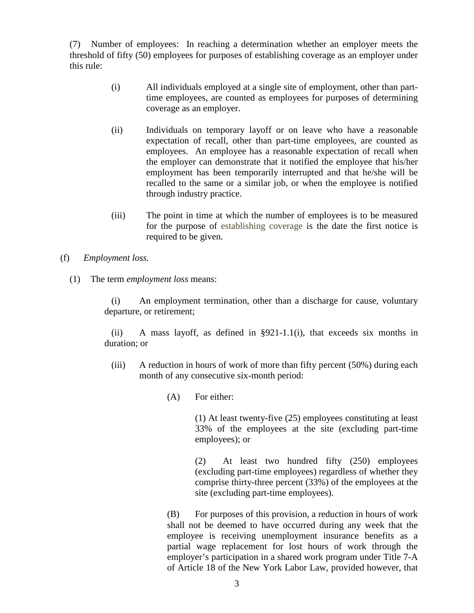(7) Number of employees: In reaching a determination whether an employer meets the threshold of fifty (50) employees for purposes of establishing coverage as an employer under this rule:

- (i) All individuals employed at a single site of employment, other than parttime employees, are counted as employees for purposes of determining coverage as an employer.
- (ii) Individuals on temporary layoff or on leave who have a reasonable expectation of recall, other than part-time employees, are counted as employees. An employee has a reasonable expectation of recall when the employer can demonstrate that it notified the employee that his/her employment has been temporarily interrupted and that he/she will be recalled to the same or a similar job, or when the employee is notified through industry practice.
- (iii) The point in time at which the number of employees is to be measured for the purpose of establishing coverage is the date the first notice is required to be given.
- (f) *Employment loss.*
	- (1) The term *employment loss* means:

(i) An employment termination, other than a discharge for cause, voluntary departure, or retirement;

(ii) A mass layoff, as defined in  $\S 921-1.1$  (i), that exceeds six months in duration; or

- (iii) A reduction in hours of work of more than fifty percent (50%) during each month of any consecutive six-month period:
	- (A) For either:

(1) At least twenty-five (25) employees constituting at least 33% of the employees at the site (excluding part-time employees); or

(2) At least two hundred fifty (250) employees (excluding part-time employees) regardless of whether they comprise thirty-three percent (33%) of the employees at the site (excluding part-time employees).

(B) For purposes of this provision, a reduction in hours of work shall not be deemed to have occurred during any week that the employee is receiving unemployment insurance benefits as a partial wage replacement for lost hours of work through the employer's participation in a shared work program under Title 7-A of Article 18 of the New York Labor Law, provided however, that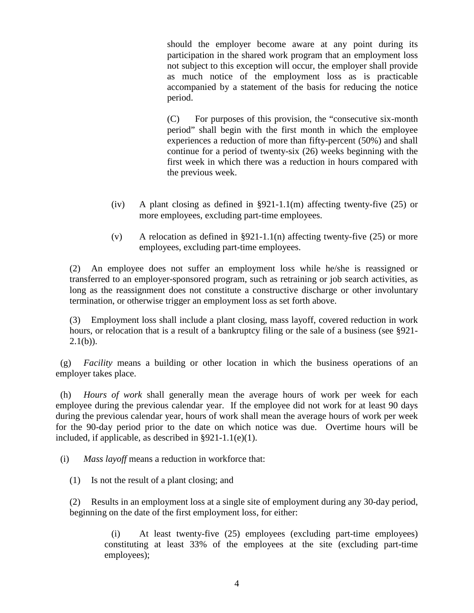should the employer become aware at any point during its participation in the shared work program that an employment loss not subject to this exception will occur, the employer shall provide as much notice of the employment loss as is practicable accompanied by a statement of the basis for reducing the notice period.

(C) For purposes of this provision, the "consecutive six-month period" shall begin with the first month in which the employee experiences a reduction of more than fifty-percent (50%) and shall continue for a period of twenty-six (26) weeks beginning with the first week in which there was a reduction in hours compared with the previous week.

- (iv) A plant closing as defined in  $\S 921-1.1(m)$  affecting twenty-five (25) or more employees, excluding part-time employees.
- (v) A relocation as defined in §921-1.1(n) affecting twenty-five  $(25)$  or more employees, excluding part-time employees.

(2) An employee does not suffer an employment loss while he/she is reassigned or transferred to an employer-sponsored program, such as retraining or job search activities, as long as the reassignment does not constitute a constructive discharge or other involuntary termination, or otherwise trigger an employment loss as set forth above.

(3) Employment loss shall include a plant closing, mass layoff, covered reduction in work hours, or relocation that is a result of a bankruptcy filing or the sale of a business (see §921-  $2.1(b)$ ).

 (g) *Facility* means a building or other location in which the business operations of an employer takes place.

 (h) *Hours of work* shall generally mean the average hours of work per week for each employee during the previous calendar year. If the employee did not work for at least 90 days during the previous calendar year, hours of work shall mean the average hours of work per week for the 90-day period prior to the date on which notice was due. Overtime hours will be included, if applicable, as described in §921-1.1(e)(1).

(i) *Mass layoff* means a reduction in workforce that:

(1) Is not the result of a plant closing; and

(2) Results in an employment loss at a single site of employment during any 30-day period, beginning on the date of the first employment loss, for either:

(i) At least twenty-five (25) employees (excluding part-time employees) constituting at least 33% of the employees at the site (excluding part-time employees);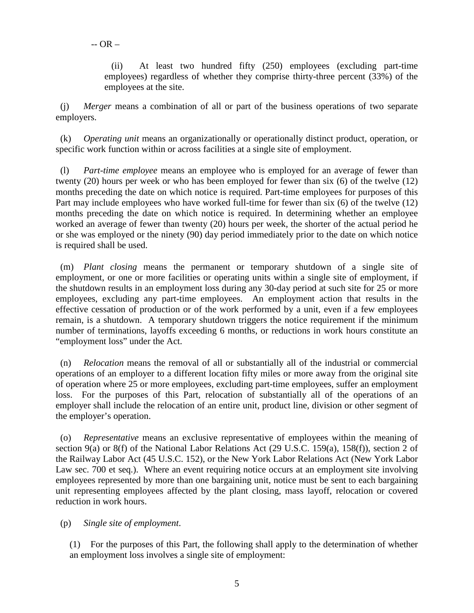(ii) At least two hundred fifty (250) employees (excluding part-time employees) regardless of whether they comprise thirty-three percent (33%) of the employees at the site.

 (j) *Merger* means a combination of all or part of the business operations of two separate employers.

 (k) *Operating unit* means an organizationally or operationally distinct product, operation, or specific work function within or across facilities at a single site of employment.

 (l) *Part-time employee* means an employee who is employed for an average of fewer than twenty (20) hours per week or who has been employed for fewer than six (6) of the twelve (12) months preceding the date on which notice is required. Part-time employees for purposes of this Part may include employees who have worked full-time for fewer than six (6) of the twelve (12) months preceding the date on which notice is required. In determining whether an employee worked an average of fewer than twenty (20) hours per week, the shorter of the actual period he or she was employed or the ninety (90) day period immediately prior to the date on which notice is required shall be used.

 (m) *Plant closing* means the permanent or temporary shutdown of a single site of employment, or one or more facilities or operating units within a single site of employment, if the shutdown results in an employment loss during any 30-day period at such site for 25 or more employees, excluding any part-time employees. An employment action that results in the effective cessation of production or of the work performed by a unit, even if a few employees remain, is a shutdown. A temporary shutdown triggers the notice requirement if the minimum number of terminations, layoffs exceeding 6 months, or reductions in work hours constitute an "employment loss" under the Act.

 (n) *Relocation* means the removal of all or substantially all of the industrial or commercial operations of an employer to a different location fifty miles or more away from the original site of operation where 25 or more employees, excluding part-time employees, suffer an employment loss. For the purposes of this Part, relocation of substantially all of the operations of an employer shall include the relocation of an entire unit, product line, division or other segment of the employer's operation.

 (o) *Representative* means an exclusive representative of employees within the meaning of section 9(a) or 8(f) of the National Labor Relations Act (29 U.S.C. 159(a), 158(f)), section 2 of the Railway Labor Act (45 U.S.C. 152), or the New York Labor Relations Act (New York Labor Law sec. 700 et seq.). Where an event requiring notice occurs at an employment site involving employees represented by more than one bargaining unit, notice must be sent to each bargaining unit representing employees affected by the plant closing, mass layoff, relocation or covered reduction in work hours.

(p) *Single site of employment*.

(1) For the purposes of this Part, the following shall apply to the determination of whether an employment loss involves a single site of employment: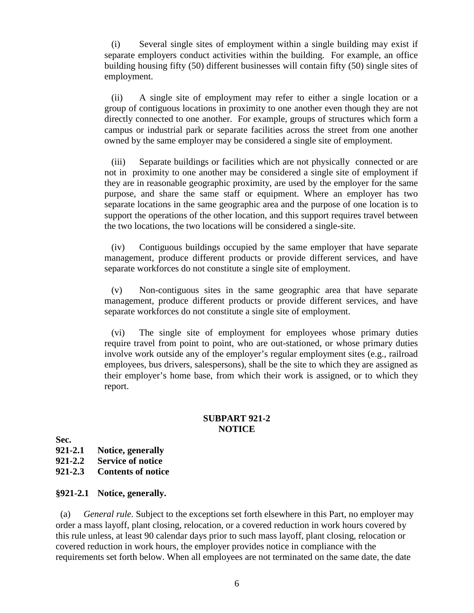(i) Several single sites of employment within a single building may exist if separate employers conduct activities within the building. For example, an office building housing fifty (50) different businesses will contain fifty (50) single sites of employment.

(ii) A single site of employment may refer to either a single location or a group of contiguous locations in proximity to one another even though they are not directly connected to one another. For example, groups of structures which form a campus or industrial park or separate facilities across the street from one another owned by the same employer may be considered a single site of employment.

(iii) Separate buildings or facilities which are not physically connected or are not in proximity to one another may be considered a single site of employment if they are in reasonable geographic proximity, are used by the employer for the same purpose, and share the same staff or equipment. Where an employer has two separate locations in the same geographic area and the purpose of one location is to support the operations of the other location, and this support requires travel between the two locations, the two locations will be considered a single-site.

(iv) Contiguous buildings occupied by the same employer that have separate management, produce different products or provide different services, and have separate workforces do not constitute a single site of employment.

(v) Non-contiguous sites in the same geographic area that have separate management, produce different products or provide different services, and have separate workforces do not constitute a single site of employment.

(vi) The single site of employment for employees whose primary duties require travel from point to point, who are out-stationed, or whose primary duties involve work outside any of the employer's regular employment sites (e.g., railroad employees, bus drivers, salespersons), shall be the site to which they are assigned as their employer's home base, from which their work is assigned, or to which they report.

#### **SUBPART 921-2 NOTICE**

**Sec.**

- **921-2.1 Notice, generally**
- **921-2.2 Service of notice**
- **921-2.3 Contents of notice**

#### **§921-2.1 Notice, generally.**

 (a) *General rule*. Subject to the exceptions set forth elsewhere in this Part, no employer may order a mass layoff, plant closing, relocation, or a covered reduction in work hours covered by this rule unless, at least 90 calendar days prior to such mass layoff, plant closing, relocation or covered reduction in work hours, the employer provides notice in compliance with the requirements set forth below. When all employees are not terminated on the same date, the date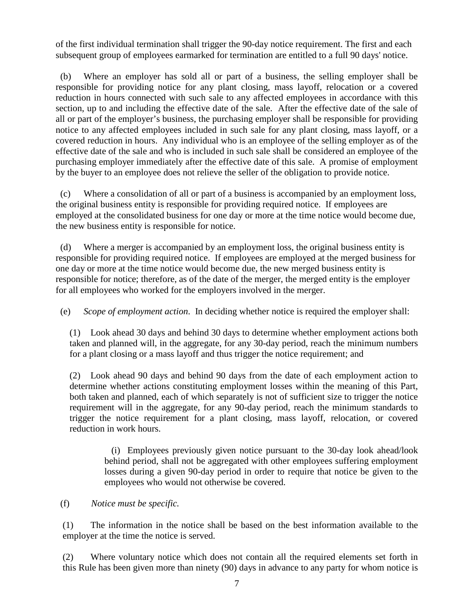of the first individual termination shall trigger the 90-day notice requirement. The first and each subsequent group of employees earmarked for termination are entitled to a full 90 days' notice.

 (b) Where an employer has sold all or part of a business, the selling employer shall be responsible for providing notice for any plant closing, mass layoff, relocation or a covered reduction in hours connected with such sale to any affected employees in accordance with this section, up to and including the effective date of the sale. After the effective date of the sale of all or part of the employer's business, the purchasing employer shall be responsible for providing notice to any affected employees included in such sale for any plant closing, mass layoff, or a covered reduction in hours. Any individual who is an employee of the selling employer as of the effective date of the sale and who is included in such sale shall be considered an employee of the purchasing employer immediately after the effective date of this sale. A promise of employment by the buyer to an employee does not relieve the seller of the obligation to provide notice.

 (c) Where a consolidation of all or part of a business is accompanied by an employment loss, the original business entity is responsible for providing required notice. If employees are employed at the consolidated business for one day or more at the time notice would become due, the new business entity is responsible for notice.

 (d) Where a merger is accompanied by an employment loss, the original business entity is responsible for providing required notice. If employees are employed at the merged business for one day or more at the time notice would become due, the new merged business entity is responsible for notice; therefore, as of the date of the merger, the merged entity is the employer for all employees who worked for the employers involved in the merger.

(e) *Scope of employment action*. In deciding whether notice is required the employer shall:

(1) Look ahead 30 days and behind 30 days to determine whether employment actions both taken and planned will, in the aggregate, for any 30-day period, reach the minimum numbers for a plant closing or a mass layoff and thus trigger the notice requirement; and

(2) Look ahead 90 days and behind 90 days from the date of each employment action to determine whether actions constituting employment losses within the meaning of this Part, both taken and planned, each of which separately is not of sufficient size to trigger the notice requirement will in the aggregate, for any 90-day period, reach the minimum standards to trigger the notice requirement for a plant closing, mass layoff, relocation, or covered reduction in work hours.

(i) Employees previously given notice pursuant to the 30-day look ahead/look behind period, shall not be aggregated with other employees suffering employment losses during a given 90-day period in order to require that notice be given to the employees who would not otherwise be covered.

## (f) *Notice must be specific.*

(1) The information in the notice shall be based on the best information available to the employer at the time the notice is served.

(2) Where voluntary notice which does not contain all the required elements set forth in this Rule has been given more than ninety (90) days in advance to any party for whom notice is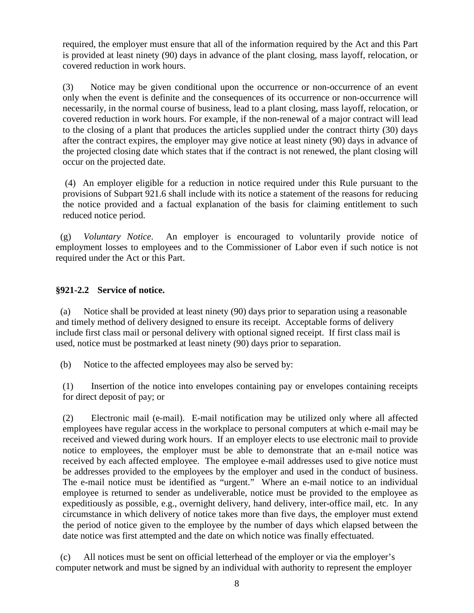required, the employer must ensure that all of the information required by the Act and this Part is provided at least ninety (90) days in advance of the plant closing, mass layoff, relocation, or covered reduction in work hours.

(3) Notice may be given conditional upon the occurrence or non-occurrence of an event only when the event is definite and the consequences of its occurrence or non-occurrence will necessarily, in the normal course of business, lead to a plant closing, mass layoff, relocation, or covered reduction in work hours. For example, if the non-renewal of a major contract will lead to the closing of a plant that produces the articles supplied under the contract thirty (30) days after the contract expires, the employer may give notice at least ninety (90) days in advance of the projected closing date which states that if the contract is not renewed, the plant closing will occur on the projected date.

(4) An employer eligible for a reduction in notice required under this Rule pursuant to the provisions of Subpart 921.6 shall include with its notice a statement of the reasons for reducing the notice provided and a factual explanation of the basis for claiming entitlement to such reduced notice period.

 (g) *Voluntary Notice*. An employer is encouraged to voluntarily provide notice of employment losses to employees and to the Commissioner of Labor even if such notice is not required under the Act or this Part.

# **§921-2.2 Service of notice.**

 (a) Notice shall be provided at least ninety (90) days prior to separation using a reasonable and timely method of delivery designed to ensure its receipt. Acceptable forms of delivery include first class mail or personal delivery with optional signed receipt. If first class mail is used, notice must be postmarked at least ninety (90) days prior to separation.

(b) Notice to the affected employees may also be served by:

(1) Insertion of the notice into envelopes containing pay or envelopes containing receipts for direct deposit of pay; or

(2) Electronic mail (e-mail). E-mail notification may be utilized only where all affected employees have regular access in the workplace to personal computers at which e-mail may be received and viewed during work hours. If an employer elects to use electronic mail to provide notice to employees, the employer must be able to demonstrate that an e-mail notice was received by each affected employee. The employee e-mail addresses used to give notice must be addresses provided to the employees by the employer and used in the conduct of business. The e-mail notice must be identified as "urgent." Where an e-mail notice to an individual employee is returned to sender as undeliverable, notice must be provided to the employee as expeditiously as possible, e.g., overnight delivery, hand delivery, inter-office mail, etc. In any circumstance in which delivery of notice takes more than five days, the employer must extend the period of notice given to the employee by the number of days which elapsed between the date notice was first attempted and the date on which notice was finally effectuated.

 (c) All notices must be sent on official letterhead of the employer or via the employer's computer network and must be signed by an individual with authority to represent the employer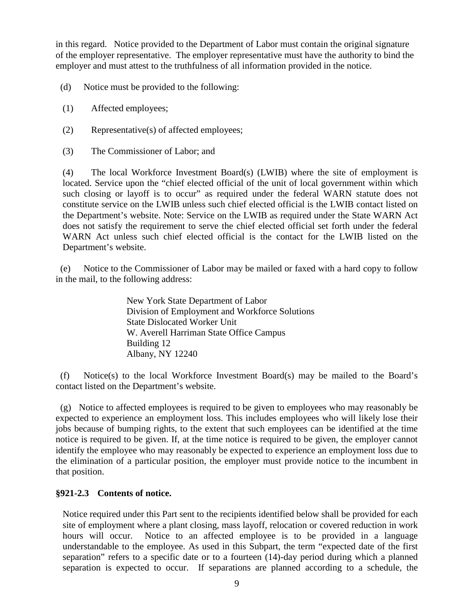in this regard. Notice provided to the Department of Labor must contain the original signature of the employer representative. The employer representative must have the authority to bind the employer and must attest to the truthfulness of all information provided in the notice.

(d) Notice must be provided to the following:

- (1) Affected employees;
- (2) Representative(s) of affected employees;
- (3) The Commissioner of Labor; and

(4) The local Workforce Investment Board(s) (LWIB) where the site of employment is located. Service upon the "chief elected official of the unit of local government within which such closing or layoff is to occur" as required under the federal WARN statute does not constitute service on the LWIB unless such chief elected official is the LWIB contact listed on the Department's website. Note: Service on the LWIB as required under the State WARN Act does not satisfy the requirement to serve the chief elected official set forth under the federal WARN Act unless such chief elected official is the contact for the LWIB listed on the Department's website.

 (e) Notice to the Commissioner of Labor may be mailed or faxed with a hard copy to follow in the mail, to the following address:

> New York State Department of Labor Division of Employment and Workforce Solutions State Dislocated Worker Unit W. Averell Harriman State Office Campus Building 12 Albany, NY 12240

 (f) Notice(s) to the local Workforce Investment Board(s) may be mailed to the Board's contact listed on the Department's website.

 (g) Notice to affected employees is required to be given to employees who may reasonably be expected to experience an employment loss. This includes employees who will likely lose their jobs because of bumping rights, to the extent that such employees can be identified at the time notice is required to be given. If, at the time notice is required to be given, the employer cannot identify the employee who may reasonably be expected to experience an employment loss due to the elimination of a particular position, the employer must provide notice to the incumbent in that position.

## **§921-2.3 Contents of notice.**

Notice required under this Part sent to the recipients identified below shall be provided for each site of employment where a plant closing, mass layoff, relocation or covered reduction in work hours will occur. Notice to an affected employee is to be provided in a language understandable to the employee. As used in this Subpart, the term "expected date of the first separation" refers to a specific date or to a fourteen (14)-day period during which a planned separation is expected to occur. If separations are planned according to a schedule, the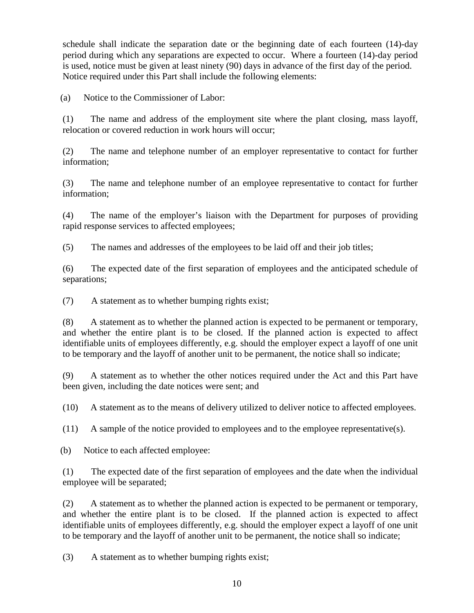schedule shall indicate the separation date or the beginning date of each fourteen (14)-day period during which any separations are expected to occur. Where a fourteen (14)-day period is used, notice must be given at least ninety (90) days in advance of the first day of the period. Notice required under this Part shall include the following elements:

(a) Notice to the Commissioner of Labor:

(1) The name and address of the employment site where the plant closing, mass layoff, relocation or covered reduction in work hours will occur;

(2) The name and telephone number of an employer representative to contact for further information;

(3) The name and telephone number of an employee representative to contact for further information;

(4) The name of the employer's liaison with the Department for purposes of providing rapid response services to affected employees;

(5) The names and addresses of the employees to be laid off and their job titles;

(6) The expected date of the first separation of employees and the anticipated schedule of separations;

(7) A statement as to whether bumping rights exist;

(8) A statement as to whether the planned action is expected to be permanent or temporary, and whether the entire plant is to be closed. If the planned action is expected to affect identifiable units of employees differently, e.g. should the employer expect a layoff of one unit to be temporary and the layoff of another unit to be permanent, the notice shall so indicate;

(9) A statement as to whether the other notices required under the Act and this Part have been given, including the date notices were sent; and

(10) A statement as to the means of delivery utilized to deliver notice to affected employees.

(11) A sample of the notice provided to employees and to the employee representative(s).

(b) Notice to each affected employee:

(1) The expected date of the first separation of employees and the date when the individual employee will be separated;

(2) A statement as to whether the planned action is expected to be permanent or temporary, and whether the entire plant is to be closed. If the planned action is expected to affect identifiable units of employees differently, e.g. should the employer expect a layoff of one unit to be temporary and the layoff of another unit to be permanent, the notice shall so indicate;

(3) A statement as to whether bumping rights exist;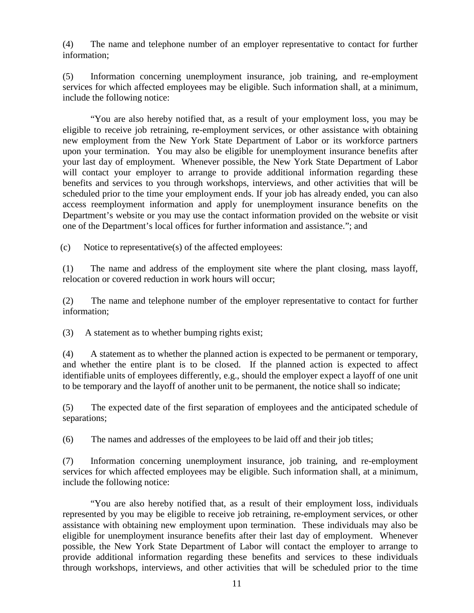(4) The name and telephone number of an employer representative to contact for further information;

(5) Information concerning unemployment insurance, job training, and re-employment services for which affected employees may be eligible. Such information shall, at a minimum, include the following notice:

"You are also hereby notified that, as a result of your employment loss, you may be eligible to receive job retraining, re-employment services, or other assistance with obtaining new employment from the New York State Department of Labor or its workforce partners upon your termination. You may also be eligible for unemployment insurance benefits after your last day of employment. Whenever possible, the New York State Department of Labor will contact your employer to arrange to provide additional information regarding these benefits and services to you through workshops, interviews, and other activities that will be scheduled prior to the time your employment ends. If your job has already ended, you can also access reemployment information and apply for unemployment insurance benefits on the Department's website or you may use the contact information provided on the website or visit one of the Department's local offices for further information and assistance."; and

(c) Notice to representative(s) of the affected employees:

(1) The name and address of the employment site where the plant closing, mass layoff, relocation or covered reduction in work hours will occur;

(2) The name and telephone number of the employer representative to contact for further information;

(3) A statement as to whether bumping rights exist;

(4) A statement as to whether the planned action is expected to be permanent or temporary, and whether the entire plant is to be closed. If the planned action is expected to affect identifiable units of employees differently, e.g., should the employer expect a layoff of one unit to be temporary and the layoff of another unit to be permanent, the notice shall so indicate;

(5) The expected date of the first separation of employees and the anticipated schedule of separations;

(6) The names and addresses of the employees to be laid off and their job titles;

(7) Information concerning unemployment insurance, job training, and re-employment services for which affected employees may be eligible. Such information shall, at a minimum, include the following notice:

"You are also hereby notified that, as a result of their employment loss, individuals represented by you may be eligible to receive job retraining, re-employment services, or other assistance with obtaining new employment upon termination. These individuals may also be eligible for unemployment insurance benefits after their last day of employment. Whenever possible, the New York State Department of Labor will contact the employer to arrange to provide additional information regarding these benefits and services to these individuals through workshops, interviews, and other activities that will be scheduled prior to the time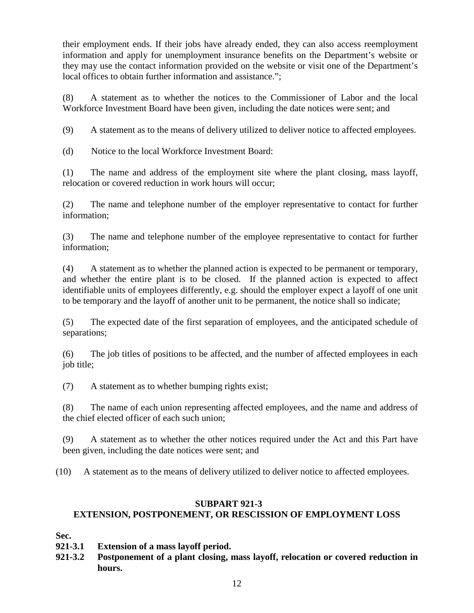their employment ends. If their jobs have already ended, they can also access reemployment information and apply for unemployment insurance benefits on the Department's website or they may use the contact information provided on the website or visit one of the Department's local offices to obtain further information and assistance.";

(8) A statement as to whether the notices to the Commissioner of Labor and the local Workforce Investment Board have been given, including the date notices were sent; and

(9) A statement as to the means of delivery utilized to deliver notice to affected employees.

(d) Notice to the local Workforce Investment Board:

(1) The name and address of the employment site where the plant closing, mass layoff, relocation or covered reduction in work hours will occur;

(2) The name and telephone number of the employer representative to contact for further information;

(3) The name and telephone number of the employee representative to contact for further information;

(4) A statement as to whether the planned action is expected to be permanent or temporary, and whether the entire plant is to be closed. If the planned action is expected to affect identifiable units of employees differently, e.g. should the employer expect a layoff of one unit to be temporary and the layoff of another unit to be permanent, the notice shall so indicate;

(5) The expected date of the first separation of employees, and the anticipated schedule of separations;

(6) The job titles of positions to be affected, and the number of affected employees in each job title;

(7) A statement as to whether bumping rights exist;

(8) The name of each union representing affected employees, and the name and address of the chief elected officer of each such union;

(9) A statement as to whether the other notices required under the Act and this Part have been given, including the date notices were sent; and

(10) A statement as to the means of delivery utilized to deliver notice to affected employees.

# **SUBPART 921-3 EXTENSION, POSTPONEMENT, OR RESCISSION OF EMPLOYMENT LOSS**

**Sec.**

- **921-3.1 Extension of a mass layoff period.**
- **921-3.2 Postponement of a plant closing, mass layoff, relocation or covered reduction in hours.**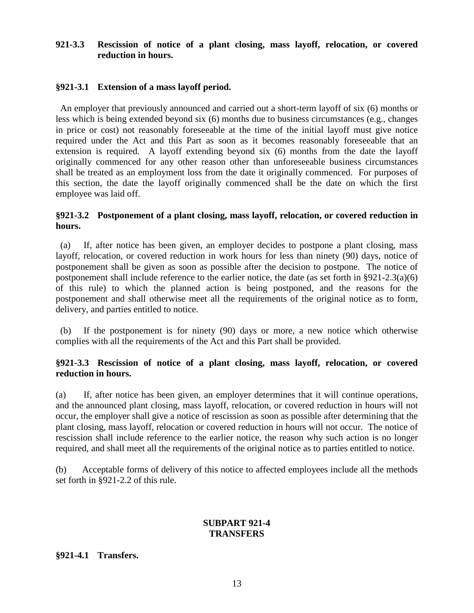## **921-3.3 Rescission of notice of a plant closing, mass layoff, relocation, or covered reduction in hours.**

## **§921-3.1 Extension of a mass layoff period.**

 An employer that previously announced and carried out a short-term layoff of six (6) months or less which is being extended beyond six (6) months due to business circumstances (e.g., changes in price or cost) not reasonably foreseeable at the time of the initial layoff must give notice required under the Act and this Part as soon as it becomes reasonably foreseeable that an extension is required. A layoff extending beyond six (6) months from the date the layoff originally commenced for any other reason other than unforeseeable business circumstances shall be treated as an employment loss from the date it originally commenced. For purposes of this section, the date the layoff originally commenced shall be the date on which the first employee was laid off.

#### **§921-3.2 Postponement of a plant closing, mass layoff, relocation, or covered reduction in hours.**

 (a) If, after notice has been given, an employer decides to postpone a plant closing, mass layoff, relocation, or covered reduction in work hours for less than ninety (90) days, notice of postponement shall be given as soon as possible after the decision to postpone. The notice of postponement shall include reference to the earlier notice, the date (as set forth in §921-2.3(a)(6) of this rule) to which the planned action is being postponed, and the reasons for the postponement and shall otherwise meet all the requirements of the original notice as to form, delivery, and parties entitled to notice.

 (b) If the postponement is for ninety (90) days or more, a new notice which otherwise complies with all the requirements of the Act and this Part shall be provided.

## **§921-3.3 Rescission of notice of a plant closing, mass layoff, relocation, or covered reduction in hours.**

(a) If, after notice has been given, an employer determines that it will continue operations, and the announced plant closing, mass layoff, relocation, or covered reduction in hours will not occur, the employer shall give a notice of rescission as soon as possible after determining that the plant closing, mass layoff, relocation or covered reduction in hours will not occur. The notice of rescission shall include reference to the earlier notice, the reason why such action is no longer required, and shall meet all the requirements of the original notice as to parties entitled to notice.

(b) Acceptable forms of delivery of this notice to affected employees include all the methods set forth in §921-2.2 of this rule.

## **SUBPART 921-4 TRANSFERS**

#### **§921-4.1 Transfers.**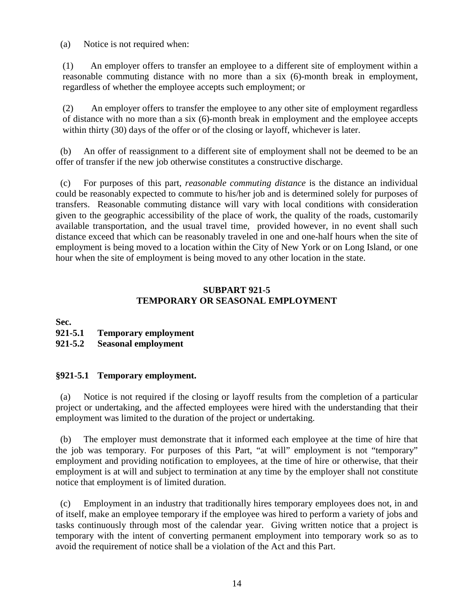(a) Notice is not required when:

(1) An employer offers to transfer an employee to a different site of employment within a reasonable commuting distance with no more than a six (6)-month break in employment, regardless of whether the employee accepts such employment; or

(2) An employer offers to transfer the employee to any other site of employment regardless of distance with no more than a six (6)-month break in employment and the employee accepts within thirty (30) days of the offer or of the closing or layoff, whichever is later.

 (b) An offer of reassignment to a different site of employment shall not be deemed to be an offer of transfer if the new job otherwise constitutes a constructive discharge.

 (c) For purposes of this part, *reasonable commuting distance* is the distance an individual could be reasonably expected to commute to his/her job and is determined solely for purposes of transfers. Reasonable commuting distance will vary with local conditions with consideration given to the geographic accessibility of the place of work, the quality of the roads, customarily available transportation, and the usual travel time, provided however, in no event shall such distance exceed that which can be reasonably traveled in one and one-half hours when the site of employment is being moved to a location within the City of New York or on Long Island, or one hour when the site of employment is being moved to any other location in the state.

## **SUBPART 921-5 TEMPORARY OR SEASONAL EMPLOYMENT**

**Sec.**

## **921-5.1 Temporary employment**

## **921-5.2 Seasonal employment**

## **§921-5.1 Temporary employment.**

 (a) Notice is not required if the closing or layoff results from the completion of a particular project or undertaking, and the affected employees were hired with the understanding that their employment was limited to the duration of the project or undertaking.

 (b) The employer must demonstrate that it informed each employee at the time of hire that the job was temporary. For purposes of this Part, "at will" employment is not "temporary" employment and providing notification to employees, at the time of hire or otherwise, that their employment is at will and subject to termination at any time by the employer shall not constitute notice that employment is of limited duration.

 (c) Employment in an industry that traditionally hires temporary employees does not, in and of itself, make an employee temporary if the employee was hired to perform a variety of jobs and tasks continuously through most of the calendar year. Giving written notice that a project is temporary with the intent of converting permanent employment into temporary work so as to avoid the requirement of notice shall be a violation of the Act and this Part.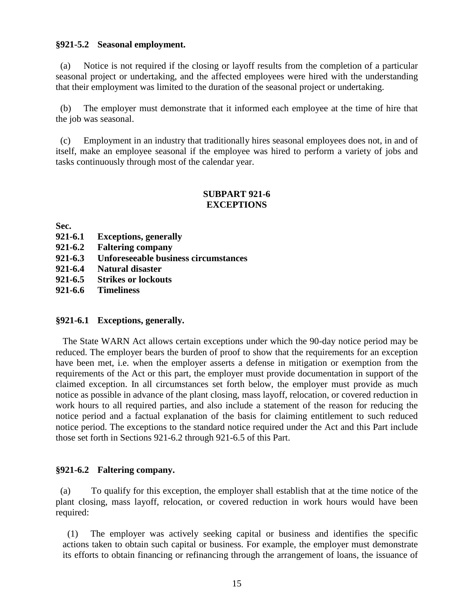#### **§921-5.2 Seasonal employment.**

 (a) Notice is not required if the closing or layoff results from the completion of a particular seasonal project or undertaking, and the affected employees were hired with the understanding that their employment was limited to the duration of the seasonal project or undertaking.

 (b) The employer must demonstrate that it informed each employee at the time of hire that the job was seasonal.

 (c) Employment in an industry that traditionally hires seasonal employees does not, in and of itself, make an employee seasonal if the employee was hired to perform a variety of jobs and tasks continuously through most of the calendar year.

## **SUBPART 921-6 EXCEPTIONS**

**Sec.**

- **921-6.1 Exceptions, generally**
- **921-6.2 Faltering company**
- **921-6.3 Unforeseeable business circumstances**
- **921-6.4 Natural disaster**
- **921-6.5 Strikes or lockouts**

**921-6.6 Timeliness**

## **§921-6.1 Exceptions, generally.**

The State WARN Act allows certain exceptions under which the 90-day notice period may be reduced. The employer bears the burden of proof to show that the requirements for an exception have been met, i.e. when the employer asserts a defense in mitigation or exemption from the requirements of the Act or this part, the employer must provide documentation in support of the claimed exception. In all circumstances set forth below, the employer must provide as much notice as possible in advance of the plant closing, mass layoff, relocation, or covered reduction in work hours to all required parties, and also include a statement of the reason for reducing the notice period and a factual explanation of the basis for claiming entitlement to such reduced notice period. The exceptions to the standard notice required under the Act and this Part include those set forth in Sections 921-6.2 through 921-6.5 of this Part.

#### **§921-6.2 Faltering company.**

(a) To qualify for this exception, the employer shall establish that at the time notice of the plant closing, mass layoff, relocation, or covered reduction in work hours would have been required:

 (1) The employer was actively seeking capital or business and identifies the specific actions taken to obtain such capital or business. For example, the employer must demonstrate its efforts to obtain financing or refinancing through the arrangement of loans, the issuance of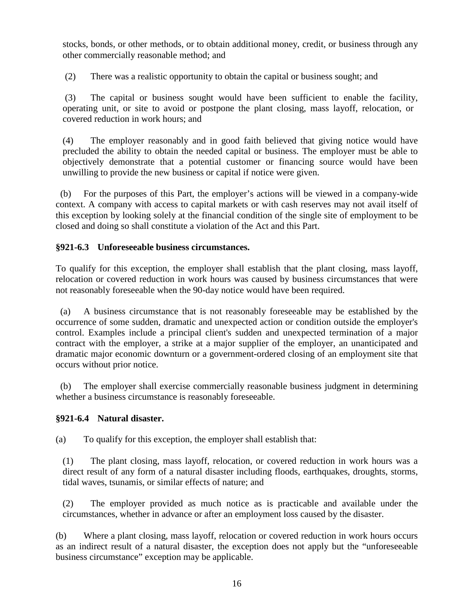stocks, bonds, or other methods, or to obtain additional money, credit, or business through any other commercially reasonable method; and

(2) There was a realistic opportunity to obtain the capital or business sought; and

(3) The capital or business sought would have been sufficient to enable the facility, operating unit, or site to avoid or postpone the plant closing, mass layoff, relocation, or covered reduction in work hours; and

(4) The employer reasonably and in good faith believed that giving notice would have precluded the ability to obtain the needed capital or business. The employer must be able to objectively demonstrate that a potential customer or financing source would have been unwilling to provide the new business or capital if notice were given.

 (b) For the purposes of this Part, the employer's actions will be viewed in a company-wide context. A company with access to capital markets or with cash reserves may not avail itself of this exception by looking solely at the financial condition of the single site of employment to be closed and doing so shall constitute a violation of the Act and this Part.

# **§921-6.3 Unforeseeable business circumstances.**

To qualify for this exception, the employer shall establish that the plant closing, mass layoff, relocation or covered reduction in work hours was caused by business circumstances that were not reasonably foreseeable when the 90-day notice would have been required.

 (a) A business circumstance that is not reasonably foreseeable may be established by the occurrence of some sudden, dramatic and unexpected action or condition outside the employer's control. Examples include a principal client's sudden and unexpected termination of a major contract with the employer, a strike at a major supplier of the employer, an unanticipated and dramatic major economic downturn or a government-ordered closing of an employment site that occurs without prior notice.

 (b) The employer shall exercise commercially reasonable business judgment in determining whether a business circumstance is reasonably foreseeable.

# **§921-6.4 Natural disaster.**

(a) To qualify for this exception, the employer shall establish that:

(1) The plant closing, mass layoff, relocation, or covered reduction in work hours was a direct result of any form of a natural disaster including floods, earthquakes, droughts, storms, tidal waves, tsunamis, or similar effects of nature; and

(2) The employer provided as much notice as is practicable and available under the circumstances, whether in advance or after an employment loss caused by the disaster.

(b) Where a plant closing, mass layoff, relocation or covered reduction in work hours occurs as an indirect result of a natural disaster, the exception does not apply but the "unforeseeable business circumstance" exception may be applicable.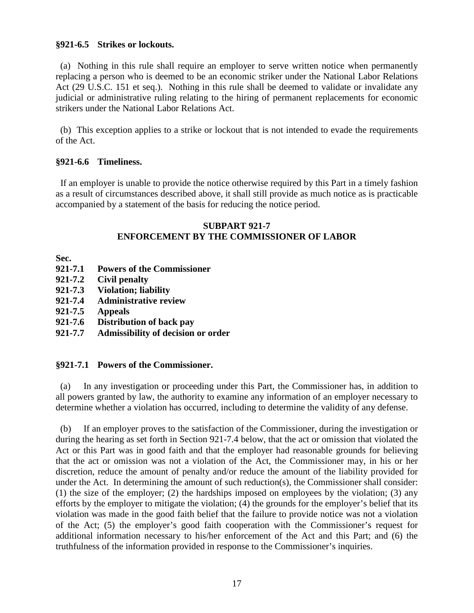## **§921-6.5 Strikes or lockouts.**

 (a)Nothing in this rule shall require an employer to serve written notice when permanently replacing a person who is deemed to be an economic striker under the National Labor Relations Act (29 U.S.C. 151 et seq.). Nothing in this rule shall be deemed to validate or invalidate any judicial or administrative ruling relating to the hiring of permanent replacements for economic strikers under the National Labor Relations Act.

 (b) This exception applies to a strike or lockout that is not intended to evade the requirements of the Act.

## **§921-6.6 Timeliness.**

 If an employer is unable to provide the notice otherwise required by this Part in a timely fashion as a result of circumstances described above, it shall still provide as much notice as is practicable accompanied by a statement of the basis for reducing the notice period.

## **SUBPART 921-7 ENFORCEMENT BY THE COMMISSIONER OF LABOR**

**Sec.**

- **921-7.1 Powers of the Commissioner**
- **921-7.2 Civil penalty**
- **921-7.3 Violation; liability**
- **921-7.4 Administrative review**
- **921-7.5 Appeals**
- **921-7.6 Distribution of back pay**
- **921-7.7 Admissibility of decision or order**

## **§921-7.1 Powers of the Commissioner.**

 (a) In any investigation or proceeding under this Part, the Commissioner has, in addition to all powers granted by law, the authority to examine any information of an employer necessary to determine whether a violation has occurred, including to determine the validity of any defense.

 (b) If an employer proves to the satisfaction of the Commissioner, during the investigation or during the hearing as set forth in Section 921-7.4 below, that the act or omission that violated the Act or this Part was in good faith and that the employer had reasonable grounds for believing that the act or omission was not a violation of the Act, the Commissioner may, in his or her discretion, reduce the amount of penalty and/or reduce the amount of the liability provided for under the Act. In determining the amount of such reduction(s), the Commissioner shall consider: (1) the size of the employer; (2) the hardships imposed on employees by the violation; (3) any efforts by the employer to mitigate the violation; (4) the grounds for the employer's belief that its violation was made in the good faith belief that the failure to provide notice was not a violation of the Act; (5) the employer's good faith cooperation with the Commissioner's request for additional information necessary to his/her enforcement of the Act and this Part; and (6) the truthfulness of the information provided in response to the Commissioner's inquiries.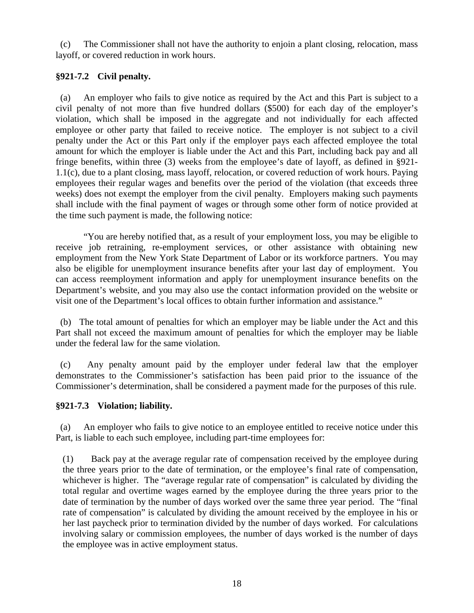(c) The Commissioner shall not have the authority to enjoin a plant closing, relocation, mass layoff, or covered reduction in work hours.

# **§921-7.2 Civil penalty.**

 (a) An employer who fails to give notice as required by the Act and this Part is subject to a civil penalty of not more than five hundred dollars (\$500) for each day of the employer's violation, which shall be imposed in the aggregate and not individually for each affected employee or other party that failed to receive notice. The employer is not subject to a civil penalty under the Act or this Part only if the employer pays each affected employee the total amount for which the employer is liable under the Act and this Part, including back pay and all fringe benefits, within three (3) weeks from the employee's date of layoff, as defined in §921- 1.1(c), due to a plant closing, mass layoff, relocation, or covered reduction of work hours. Paying employees their regular wages and benefits over the period of the violation (that exceeds three weeks) does not exempt the employer from the civil penalty. Employers making such payments shall include with the final payment of wages or through some other form of notice provided at the time such payment is made, the following notice:

"You are hereby notified that, as a result of your employment loss, you may be eligible to receive job retraining, re-employment services, or other assistance with obtaining new employment from the New York State Department of Labor or its workforce partners. You may also be eligible for unemployment insurance benefits after your last day of employment. You can access reemployment information and apply for unemployment insurance benefits on the Department's website, and you may also use the contact information provided on the website or visit one of the Department's local offices to obtain further information and assistance."

 (b) The total amount of penalties for which an employer may be liable under the Act and this Part shall not exceed the maximum amount of penalties for which the employer may be liable under the federal law for the same violation.

 (c) Any penalty amount paid by the employer under federal law that the employer demonstrates to the Commissioner's satisfaction has been paid prior to the issuance of the Commissioner's determination, shall be considered a payment made for the purposes of this rule.

# **§921-7.3 Violation; liability.**

 (a) An employer who fails to give notice to an employee entitled to receive notice under this Part, is liable to each such employee, including part-time employees for:

(1) Back pay at the average regular rate of compensation received by the employee during the three years prior to the date of termination, or the employee's final rate of compensation, whichever is higher. The "average regular rate of compensation" is calculated by dividing the total regular and overtime wages earned by the employee during the three years prior to the date of termination by the number of days worked over the same three year period. The "final rate of compensation" is calculated by dividing the amount received by the employee in his or her last paycheck prior to termination divided by the number of days worked. For calculations involving salary or commission employees, the number of days worked is the number of days the employee was in active employment status.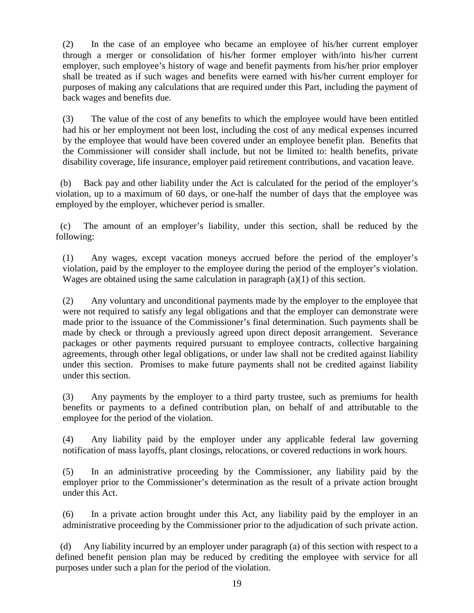(2) In the case of an employee who became an employee of his/her current employer through a merger or consolidation of his/her former employer with/into his/her current employer, such employee's history of wage and benefit payments from his/her prior employer shall be treated as if such wages and benefits were earned with his/her current employer for purposes of making any calculations that are required under this Part, including the payment of back wages and benefits due.

(3) The value of the cost of any benefits to which the employee would have been entitled had his or her employment not been lost, including the cost of any medical expenses incurred by the employee that would have been covered under an employee benefit plan. Benefits that the Commissioner will consider shall include, but not be limited to: health benefits, private disability coverage, life insurance, employer paid retirement contributions, and vacation leave.

 (b) Back pay and other liability under the Act is calculated for the period of the employer's violation, up to a maximum of 60 days, or one-half the number of days that the employee was employed by the employer, whichever period is smaller.

 (c) The amount of an employer's liability, under this section, shall be reduced by the following:

(1) Any wages, except vacation moneys accrued before the period of the employer's violation, paid by the employer to the employee during the period of the employer's violation. Wages are obtained using the same calculation in paragraph (a)(1) of this section.

(2) Any voluntary and unconditional payments made by the employer to the employee that were not required to satisfy any legal obligations and that the employer can demonstrate were made prior to the issuance of the Commissioner's final determination. Such payments shall be made by check or through a previously agreed upon direct deposit arrangement. Severance packages or other payments required pursuant to employee contracts, collective bargaining agreements, through other legal obligations, or under law shall not be credited against liability under this section. Promises to make future payments shall not be credited against liability under this section.

(3) Any payments by the employer to a third party trustee, such as premiums for health benefits or payments to a defined contribution plan, on behalf of and attributable to the employee for the period of the violation.

(4) Any liability paid by the employer under any applicable federal law governing notification of mass layoffs, plant closings, relocations, or covered reductions in work hours.

(5) In an administrative proceeding by the Commissioner, any liability paid by the employer prior to the Commissioner's determination as the result of a private action brought under this Act.

(6) In a private action brought under this Act, any liability paid by the employer in an administrative proceeding by the Commissioner prior to the adjudication of such private action.

 (d) Any liability incurred by an employer under paragraph (a) of this section with respect to a defined benefit pension plan may be reduced by crediting the employee with service for all purposes under such a plan for the period of the violation.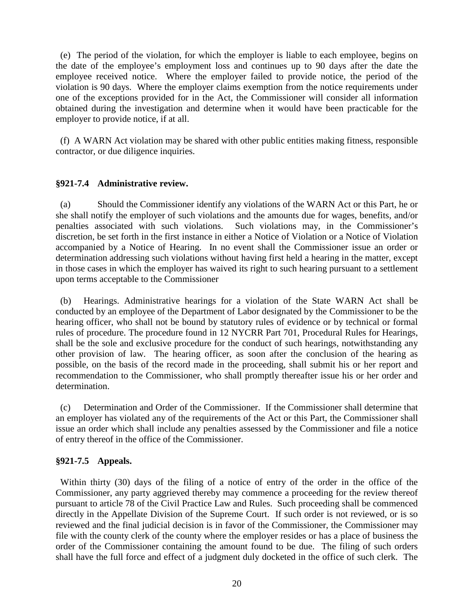(e) The period of the violation, for which the employer is liable to each employee, begins on the date of the employee's employment loss and continues up to 90 days after the date the employee received notice. Where the employer failed to provide notice, the period of the violation is 90 days. Where the employer claims exemption from the notice requirements under one of the exceptions provided for in the Act, the Commissioner will consider all information obtained during the investigation and determine when it would have been practicable for the employer to provide notice, if at all.

 (f) A WARN Act violation may be shared with other public entities making fitness, responsible contractor, or due diligence inquiries.

# **§921-7.4 Administrative review.**

 (a) Should the Commissioner identify any violations of the WARN Act or this Part, he or she shall notify the employer of such violations and the amounts due for wages, benefits, and/or penalties associated with such violations. Such violations may, in the Commissioner's discretion, be set forth in the first instance in either a Notice of Violation or a Notice of Violation accompanied by a Notice of Hearing. In no event shall the Commissioner issue an order or determination addressing such violations without having first held a hearing in the matter, except in those cases in which the employer has waived its right to such hearing pursuant to a settlement upon terms acceptable to the Commissioner

 (b) Hearings. Administrative hearings for a violation of the State WARN Act shall be conducted by an employee of the Department of Labor designated by the Commissioner to be the hearing officer, who shall not be bound by statutory rules of evidence or by technical or formal rules of procedure. The procedure found in 12 NYCRR Part 701, Procedural Rules for Hearings, shall be the sole and exclusive procedure for the conduct of such hearings, notwithstanding any other provision of law. The hearing officer, as soon after the conclusion of the hearing as possible, on the basis of the record made in the proceeding, shall submit his or her report and recommendation to the Commissioner, who shall promptly thereafter issue his or her order and determination.

 (c) Determination and Order of the Commissioner. If the Commissioner shall determine that an employer has violated any of the requirements of the Act or this Part, the Commissioner shall issue an order which shall include any penalties assessed by the Commissioner and file a notice of entry thereof in the office of the Commissioner.

# **§921-7.5 Appeals.**

 Within thirty (30) days of the filing of a notice of entry of the order in the office of the Commissioner, any party aggrieved thereby may commence a proceeding for the review thereof pursuant to article 78 of the Civil Practice Law and Rules. Such proceeding shall be commenced directly in the Appellate Division of the Supreme Court. If such order is not reviewed, or is so reviewed and the final judicial decision is in favor of the Commissioner, the Commissioner may file with the county clerk of the county where the employer resides or has a place of business the order of the Commissioner containing the amount found to be due. The filing of such orders shall have the full force and effect of a judgment duly docketed in the office of such clerk. The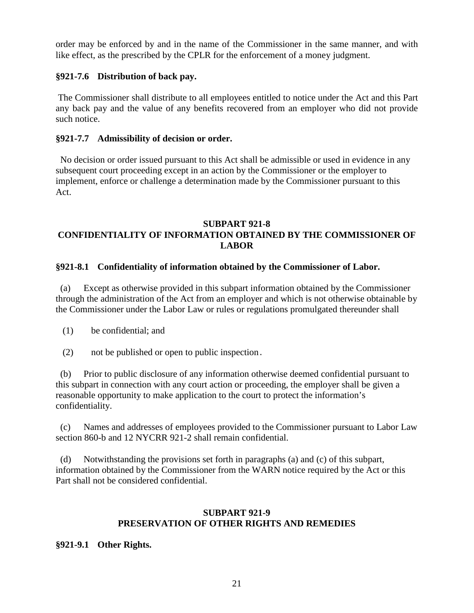order may be enforced by and in the name of the Commissioner in the same manner, and with like effect, as the prescribed by the CPLR for the enforcement of a money judgment.

## **§921-7.6 Distribution of back pay.**

The Commissioner shall distribute to all employees entitled to notice under the Act and this Part any back pay and the value of any benefits recovered from an employer who did not provide such notice.

## **§921-7.7 Admissibility of decision or order.**

 No decision or order issued pursuant to this Act shall be admissible or used in evidence in any subsequent court proceeding except in an action by the Commissioner or the employer to implement, enforce or challenge a determination made by the Commissioner pursuant to this Act.

## **SUBPART 921-8 CONFIDENTIALITY OF INFORMATION OBTAINED BY THE COMMISSIONER OF LABOR**

## **§921-8.1 Confidentiality of information obtained by the Commissioner of Labor.**

 (a) Except as otherwise provided in this subpart information obtained by the Commissioner through the administration of the Act from an employer and which is not otherwise obtainable by the Commissioner under the Labor Law or rules or regulations promulgated thereunder shall

- (1) be confidential; and
- (2) not be published or open to public inspection.

 (b) Prior to public disclosure of any information otherwise deemed confidential pursuant to this subpart in connection with any court action or proceeding, the employer shall be given a reasonable opportunity to make application to the court to protect the information's confidentiality.

 (c) Names and addresses of employees provided to the Commissioner pursuant to Labor Law section 860-b and 12 NYCRR 921-2 shall remain confidential.

 (d) Notwithstanding the provisions set forth in paragraphs (a) and (c) of this subpart, information obtained by the Commissioner from the WARN notice required by the Act or this Part shall not be considered confidential.

## **SUBPART 921-9 PRESERVATION OF OTHER RIGHTS AND REMEDIES**

## **§921-9.1 Other Rights.**